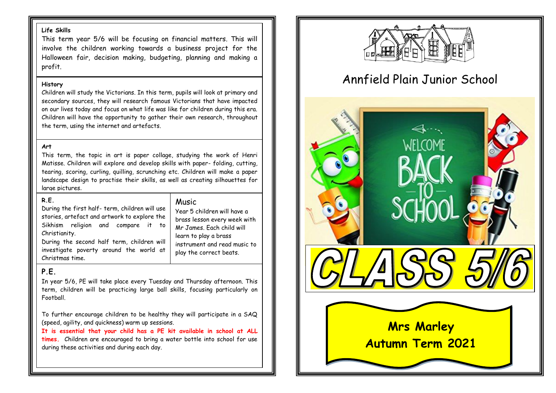### **Life Skills**

This term year 5/6 will be focusing on financial matters. This will involve the children working towards a business project for the Halloween fair, decision making, budgeting, planning and making a profit.

#### **History**

Children will study the Victorians. In this term, pupils will look at primary and secondary sources, they will research famous Victorians that have impacted on our lives today and focus on what life was like for children during this era. Children will have the opportunity to gather their own research, throughout the term, using the internet and artefacts.

### **Art**

This term, the topic in art is paper collage, studying the work of Henri Matisse. Children will explore and develop skills with paper- folding, cutting, tearing, scoring, curling, quilling, scrunching etc. Children will make a paper landscape design to practise their skills, as well as creating silhouettes for large pictures.

### **R.E.**

## Music

Year 5 children will have a brass lesson every week with Mr James. Each child will learn to play a brass

instrument and read music to play the correct beats.

During the first half- term, children will use stories, artefact and artwork to explore the Sikhism religion and compare it to Christianity.

During the second half term, children will investigate poverty around the world at Christmas time.

## **P.E.**

In year 5/6, PE will take place every Tuesday and Thursday afternoon. This term, children will be practicing large ball skills, focusing particularly on Football.

To further encourage children to be healthy they will participate in a SAQ (speed, agility, and quickness) warm up sessions.

**It is essential that your child has a PE kit available in school at ALL times.** Children are encouraged to bring a water bottle into school for use during these activities and during each day.



# Annfield Plain Junior School